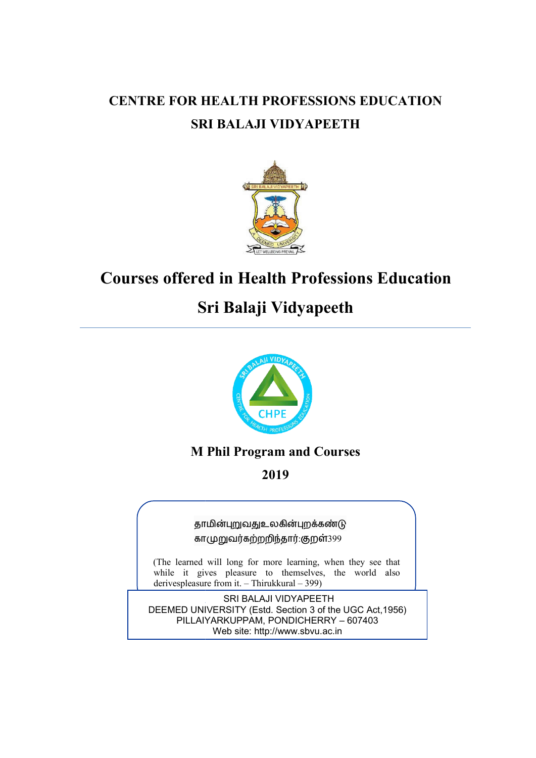# **CENTRE FOR HEALTH PROFESSIONS EDUCATION EDUCATION SRI BALAJI VIDYAPEETH**



# **Courses offered in Health Professions Education Courses**

# **Sri Balaji Vidyapeeth**



# **M Phil Program and Courses**

**2019** 

தாமின்புறுவதுஉலகின்புறக்கண்டு காமுறுவர்கற்றறிந்தார்.குறள்399

(The learned will long for more learning, when they see that while it gives pleasure to themselves, the world also derives pleasure from it.  $-$  Thirukkural  $-$  399) derivespleasure from it. - Thirukkural - 399)

DEEMED UNIVERSITY (Estd. Section 3 of the UGC Act, 1956) PILLAIYARKUPPAM, PONDICHERRY – 607403 SRI BALAJI VIDYAPEETH Web site: http://www.sbvu.ac.in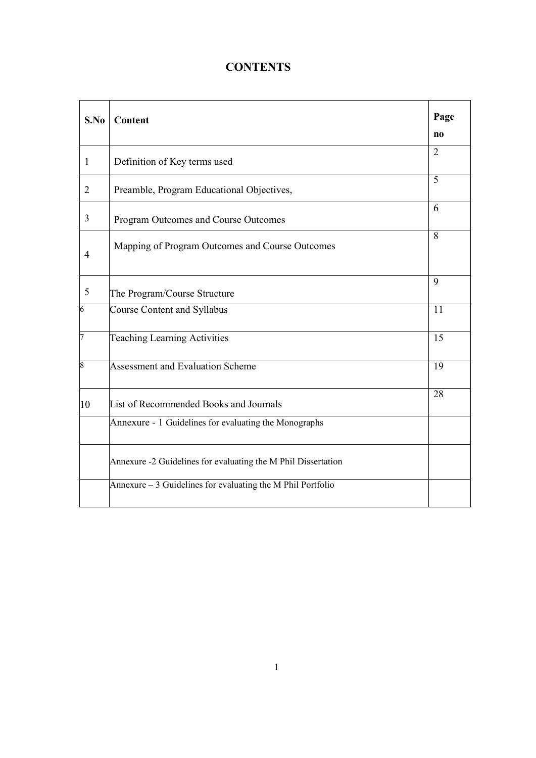# **CONTENTS**

| S.No           | Content                                                       | Page           |
|----------------|---------------------------------------------------------------|----------------|
|                |                                                               | n <sub>0</sub> |
| 1              | Definition of Key terms used                                  | $\overline{2}$ |
| $\overline{2}$ | Preamble, Program Educational Objectives,                     | 5              |
| 3              | Program Outcomes and Course Outcomes                          | 6              |
| $\overline{4}$ | Mapping of Program Outcomes and Course Outcomes               | 8              |
| 5              | The Program/Course Structure                                  | 9              |
| 6              | <b>Course Content and Syllabus</b>                            | 11             |
| 7              | <b>Teaching Learning Activities</b>                           | 15             |
| 8              | <b>Assessment and Evaluation Scheme</b>                       | 19             |
| 10             | List of Recommended Books and Journals                        | 28             |
|                | Annexure - 1 Guidelines for evaluating the Monographs         |                |
|                | Annexure -2 Guidelines for evaluating the M Phil Dissertation |                |
|                | Annexure $-3$ Guidelines for evaluating the M Phil Portfolio  |                |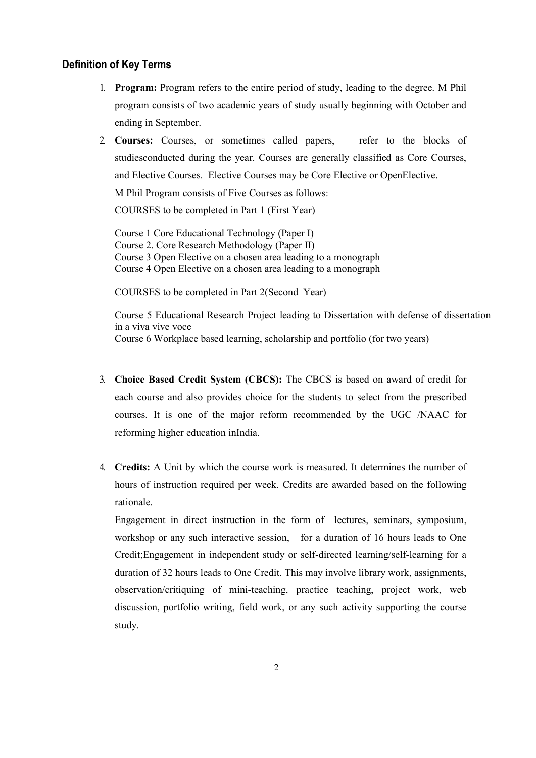# **Definition of Key Terms**

- 1. **Program:** Program refers to the entire period of study, leading to the degree. M Phil program consists of two academic years of study usually beginning with October and ending in September.
- 2. **Courses:** Courses, or sometimes called papers, refer to the blocks of studiesconducted during the year. Courses are generally classified as Core Courses, and Elective Courses. Elective Courses may be Core Elective or OpenElective.

M Phil Program consists of Five Courses as follows:

COURSES to be completed in Part 1 (First Year)

Course 1 Core Educational Technology (Paper I) Course 2. Core Research Methodology (Paper II) Course 3 Open Elective on a chosen area leading to a monograph Course 4 Open Elective on a chosen area leading to a monograph

COURSES to be completed in Part 2(Second Year)

Course 5 Educational Research Project leading to Dissertation with defense of dissertation in a viva vive voce Course 6 Workplace based learning, scholarship and portfolio (for two years)

- 3. **Choice Based Credit System (CBCS):** The CBCS is based on award of credit for each course and also provides choice for the students to select from the prescribed courses. It is one of the major reform recommended by the UGC /NAAC for reforming higher education inIndia.
- 4. **Credits:** A Unit by which the course work is measured. It determines the number of hours of instruction required per week. Credits are awarded based on the following rationale.

Engagement in direct instruction in the form of lectures, seminars, symposium, workshop or any such interactive session, for a duration of 16 hours leads to One Credit;Engagement in independent study or self-directed learning/self-learning for a duration of 32 hours leads to One Credit. This may involve library work, assignments, observation/critiquing of mini-teaching, practice teaching, project work, web discussion, portfolio writing, field work, or any such activity supporting the course study.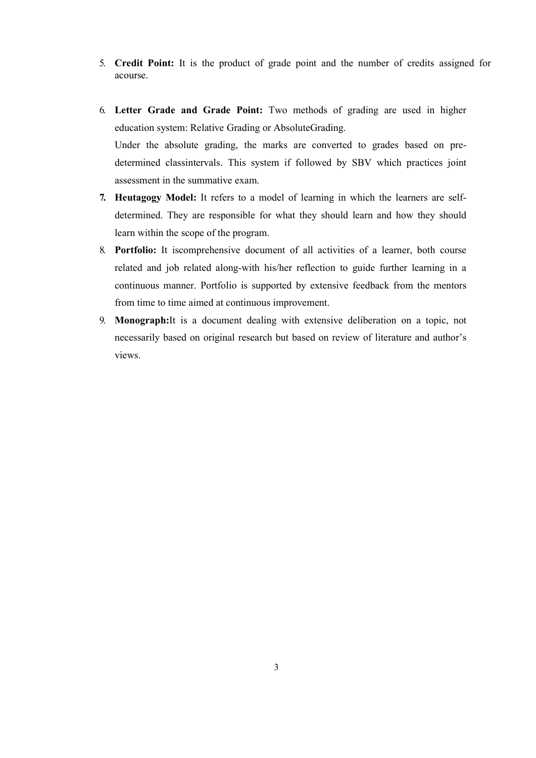- 5. **Credit Point:** It is the product of grade point and the number of credits assigned for acourse.
- 6. **Letter Grade and Grade Point:** Two methods of grading are used in higher education system: Relative Grading or AbsoluteGrading. Under the absolute grading, the marks are converted to grades based on predetermined classintervals. This system if followed by SBV which practices joint assessment in the summative exam.
- **7. Heutagogy Model:** It refers to a model of learning in which the learners are selfdetermined. They are responsible for what they should learn and how they should learn within the scope of the program.
- 8. **Portfolio:** It iscomprehensive document of all activities of a learner, both course related and job related along-with his/her reflection to guide further learning in a continuous manner. Portfolio is supported by extensive feedback from the mentors from time to time aimed at continuous improvement.
- 9. **Monograph:**It is a document dealing with extensive deliberation on a topic, not necessarily based on original research but based on review of literature and author's views.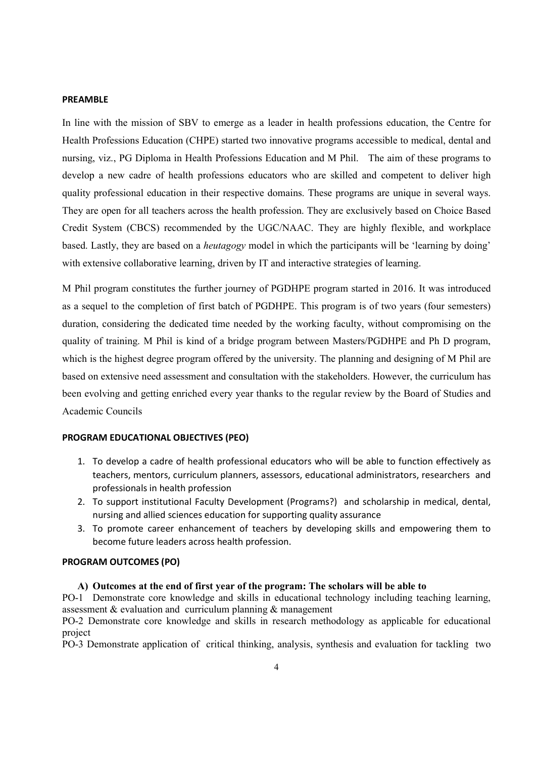### **PREAMBLE**

In line with the mission of SBV to emerge as a leader in health professions education, the Centre for Health Professions Education (CHPE) started two innovative programs accessible to medical, dental and nursing, viz., PG Diploma in Health Professions Education and M Phil. The aim of these programs to develop a new cadre of health professions educators who are skilled and competent to deliver high quality professional education in their respective domains. These programs are unique in several ways. They are open for all teachers across the health profession. They are exclusively based on Choice Based Credit System (CBCS) recommended by the UGC/NAAC. They are highly flexible, and workplace based. Lastly, they are based on a *heutagogy* model in which the participants will be 'learning by doing' with extensive collaborative learning, driven by IT and interactive strategies of learning.

M Phil program constitutes the further journey of PGDHPE program started in 2016. It was introduced as a sequel to the completion of first batch of PGDHPE. This program is of two years (four semesters) duration, considering the dedicated time needed by the working faculty, without compromising on the quality of training. M Phil is kind of a bridge program between Masters/PGDHPE and Ph D program, which is the highest degree program offered by the university. The planning and designing of M Phil are based on extensive need assessment and consultation with the stakeholders. However, the curriculum has been evolving and getting enriched every year thanks to the regular review by the Board of Studies and Academic Councils

#### **PROGRAM EDUCATIONAL OBJECTIVES (PEO)**

- 1. To develop a cadre of health professional educators who will be able to function effectively as teachers, mentors, curriculum planners, assessors, educational administrators, researchers and professionals in health profession
- 2. To support institutional Faculty Development (Programs?) and scholarship in medical, dental, nursing and allied sciences education for supporting quality assurance
- 3. To promote career enhancement of teachers by developing skills and empowering them to become future leaders across health profession.

#### **PROGRAM OUTCOMES (PO)**

#### **A) Outcomes at the end of first year of the program: The scholars will be able to**

PO-1 Demonstrate core knowledge and skills in educational technology including teaching learning, assessment  $&$  evaluation and curriculum planning  $&$  management

PO-2 Demonstrate core knowledge and skills in research methodology as applicable for educational project

PO-3 Demonstrate application of critical thinking, analysis, synthesis and evaluation for tackling two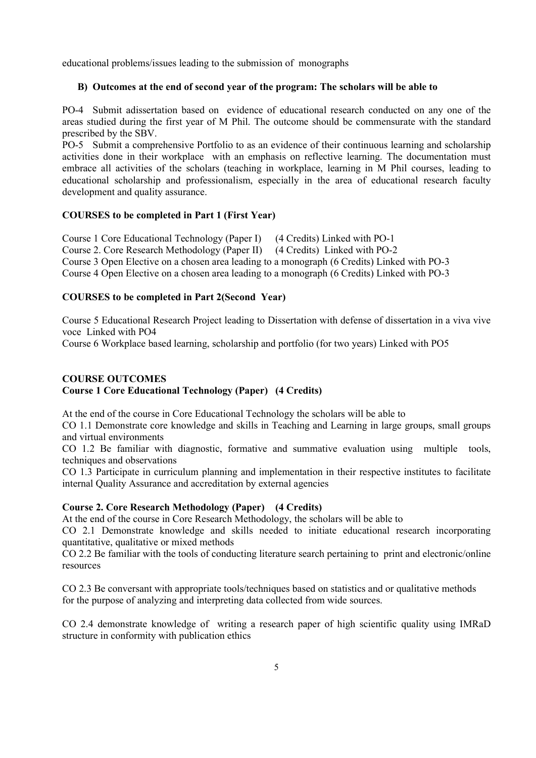educational problems/issues leading to the submission of monographs

# **B) Outcomes at the end of second year of the program: The scholars will be able to**

PO-4 Submit adissertation based on evidence of educational research conducted on any one of the areas studied during the first year of M Phil. The outcome should be commensurate with the standard prescribed by the SBV.

PO-5 Submit a comprehensive Portfolio to as an evidence of their continuous learning and scholarship activities done in their workplace with an emphasis on reflective learning. The documentation must embrace all activities of the scholars (teaching in workplace, learning in M Phil courses, leading to educational scholarship and professionalism, especially in the area of educational research faculty development and quality assurance.

# **COURSES to be completed in Part 1 (First Year)**

Course 1 Core Educational Technology (Paper I) (4 Credits) Linked with PO-1 Course 2. Core Research Methodology (Paper II) (4 Credits) Linked with PO-2 Course 3 Open Elective on a chosen area leading to a monograph (6 Credits) Linked with PO-3 Course 4 Open Elective on a chosen area leading to a monograph (6 Credits) Linked with PO-3

# **COURSES to be completed in Part 2(Second Year)**

Course 5 Educational Research Project leading to Dissertation with defense of dissertation in a viva vive voce Linked with PO4

Course 6 Workplace based learning, scholarship and portfolio (for two years) Linked with PO5

# **COURSE OUTCOMES Course 1 Core Educational Technology (Paper) (4 Credits)**

At the end of the course in Core Educational Technology the scholars will be able to

CO 1.1 Demonstrate core knowledge and skills in Teaching and Learning in large groups, small groups and virtual environments

CO 1.2 Be familiar with diagnostic, formative and summative evaluation using multiple tools, techniques and observations

CO 1.3 Participate in curriculum planning and implementation in their respective institutes to facilitate internal Quality Assurance and accreditation by external agencies

# **Course 2. Core Research Methodology (Paper) (4 Credits)**

At the end of the course in Core Research Methodology, the scholars will be able to

CO 2.1 Demonstrate knowledge and skills needed to initiate educational research incorporating quantitative, qualitative or mixed methods

CO 2.2 Be familiar with the tools of conducting literature search pertaining to print and electronic/online resources

CO 2.3 Be conversant with appropriate tools/techniques based on statistics and or qualitative methods for the purpose of analyzing and interpreting data collected from wide sources.

CO 2.4 demonstrate knowledge of writing a research paper of high scientific quality using IMRaD structure in conformity with publication ethics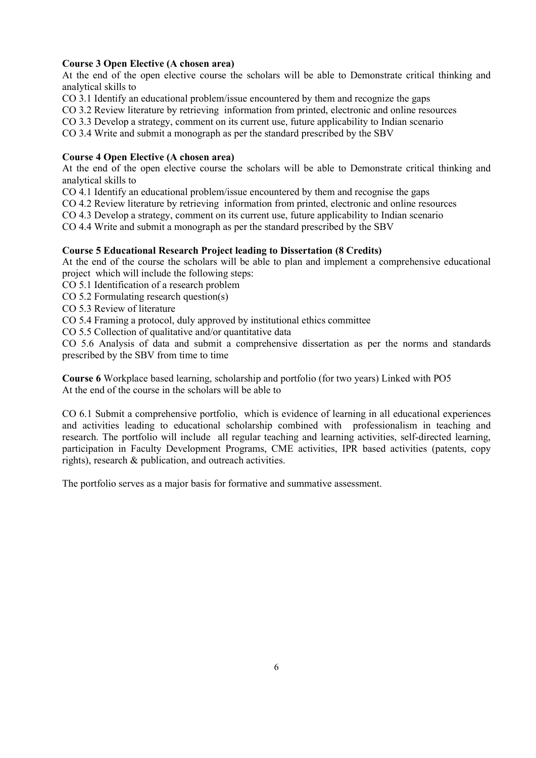# **Course 3 Open Elective (A chosen area)**

At the end of the open elective course the scholars will be able to Demonstrate critical thinking and analytical skills to

CO 3.1 Identify an educational problem/issue encountered by them and recognize the gaps

CO 3.2 Review literature by retrieving information from printed, electronic and online resources

CO 3.3 Develop a strategy, comment on its current use, future applicability to Indian scenario

CO 3.4 Write and submit a monograph as per the standard prescribed by the SBV

# **Course 4 Open Elective (A chosen area)**

At the end of the open elective course the scholars will be able to Demonstrate critical thinking and analytical skills to

CO 4.1 Identify an educational problem/issue encountered by them and recognise the gaps

CO 4.2 Review literature by retrieving information from printed, electronic and online resources

CO 4.3 Develop a strategy, comment on its current use, future applicability to Indian scenario

CO 4.4 Write and submit a monograph as per the standard prescribed by the SBV

# **Course 5 Educational Research Project leading to Dissertation (8 Credits)**

At the end of the course the scholars will be able to plan and implement a comprehensive educational project which will include the following steps:

CO 5.1 Identification of a research problem

CO 5.2 Formulating research question(s)

CO 5.3 Review of literature

CO 5.4 Framing a protocol, duly approved by institutional ethics committee

CO 5.5 Collection of qualitative and/or quantitative data

CO 5.6 Analysis of data and submit a comprehensive dissertation as per the norms and standards prescribed by the SBV from time to time

**Course 6** Workplace based learning, scholarship and portfolio (for two years) Linked with PO5 At the end of the course in the scholars will be able to

CO 6.1 Submit a comprehensive portfolio, which is evidence of learning in all educational experiences and activities leading to educational scholarship combined with professionalism in teaching and research. The portfolio will include all regular teaching and learning activities, self-directed learning, participation in Faculty Development Programs, CME activities, IPR based activities (patents, copy rights), research & publication, and outreach activities.

The portfolio serves as a major basis for formative and summative assessment.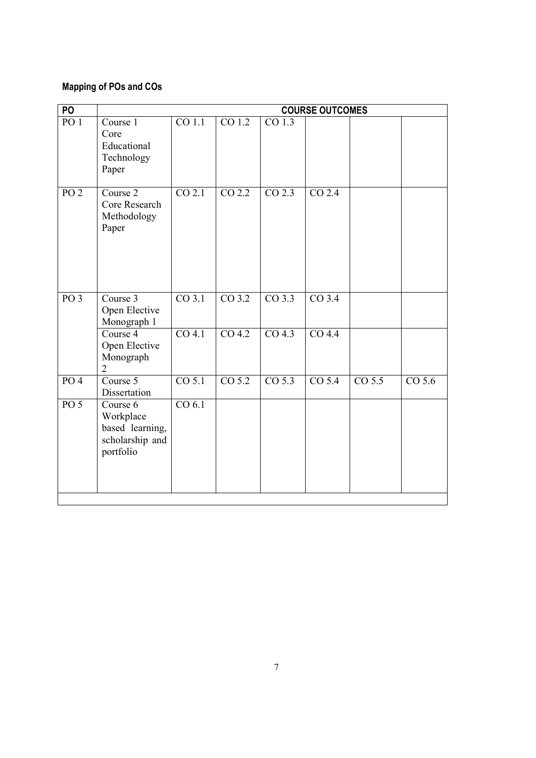# **Mapping of POs and COs**

| PO              |                                                                          |                     |                     |                     | <b>COURSE OUTCOMES</b> |                     |                     |
|-----------------|--------------------------------------------------------------------------|---------------------|---------------------|---------------------|------------------------|---------------------|---------------------|
| PO <sub>1</sub> | Course 1<br>Core<br>Educational<br>Technology<br>Paper                   | $\overline{CO 1.1}$ | $\overline{CO 1.2}$ | CO <sub>1.3</sub>   |                        |                     |                     |
| PO <sub>2</sub> | Course 2<br>Core Research<br>Methodology<br>Paper                        | CO 2.1              | CO <sub>2.2</sub>   | $CO$ 2.3            | CO 2.4                 |                     |                     |
| PO <sub>3</sub> | Course 3<br>Open Elective<br>Monograph 1                                 | $CO$ 3.1            | $CO$ 3.2            | $CO$ 3.3            | $CO$ 3.4               |                     |                     |
|                 | Course 4<br>Open Elective<br>Monograph<br>$\overline{2}$                 | $CO$ 4.1            | $\overline{CO 4.2}$ | CO <sub>4.3</sub>   | $CO$ 4.4               |                     |                     |
| PO <sub>4</sub> | Course 5<br>Dissertation                                                 | $\overline{CO 5.1}$ | $\overline{CO 5.2}$ | $\overline{CO 5.3}$ | CO <sub>5.4</sub>      | $\overline{CO 5.5}$ | $\overline{CO 5.6}$ |
| PO <sub>5</sub> | Course 6<br>Workplace<br>based learning,<br>scholarship and<br>portfolio | CO 6.1              |                     |                     |                        |                     |                     |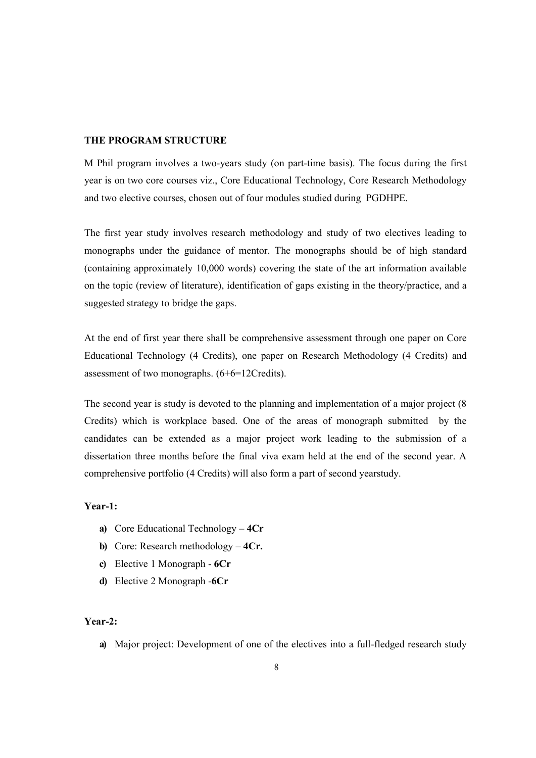#### **THE PROGRAM STRUCTURE**

M Phil program involves a two-years study (on part-time basis). The focus during the first year is on two core courses viz., Core Educational Technology, Core Research Methodology and two elective courses, chosen out of four modules studied during PGDHPE.

The first year study involves research methodology and study of two electives leading to monographs under the guidance of mentor. The monographs should be of high standard (containing approximately 10,000 words) covering the state of the art information available on the topic (review of literature), identification of gaps existing in the theory/practice, and a suggested strategy to bridge the gaps.

At the end of first year there shall be comprehensive assessment through one paper on Core Educational Technology (4 Credits), one paper on Research Methodology (4 Credits) and assessment of two monographs. (6+6=12Credits).

The second year is study is devoted to the planning and implementation of a major project (8 Credits) which is workplace based. One of the areas of monograph submitted by the candidates can be extended as a major project work leading to the submission of a dissertation three months before the final viva exam held at the end of the second year. A comprehensive portfolio (4 Credits) will also form a part of second yearstudy.

#### **Year-1:**

- **a)** Core Educational Technology **4Cr**
- **b)** Core: Research methodology **4Cr.**
- **c)** Elective 1 Monograph **6Cr**
- **d)** Elective 2 Monograph -**6Cr**

#### **Year-2:**

**a)** Major project: Development of one of the electives into a full-fledged research study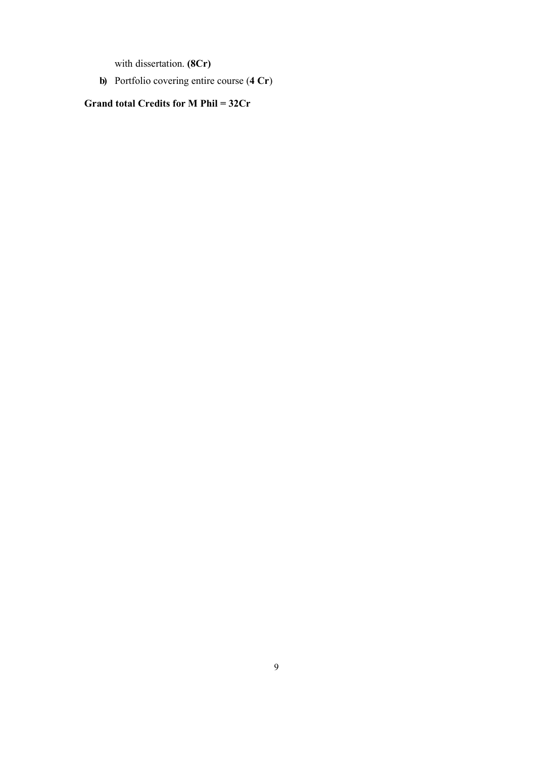with dissertation. **(8Cr)** 

**b)** Portfolio covering entire course (**4 Cr**)

**Grand total Credits for M Phil = 32Cr**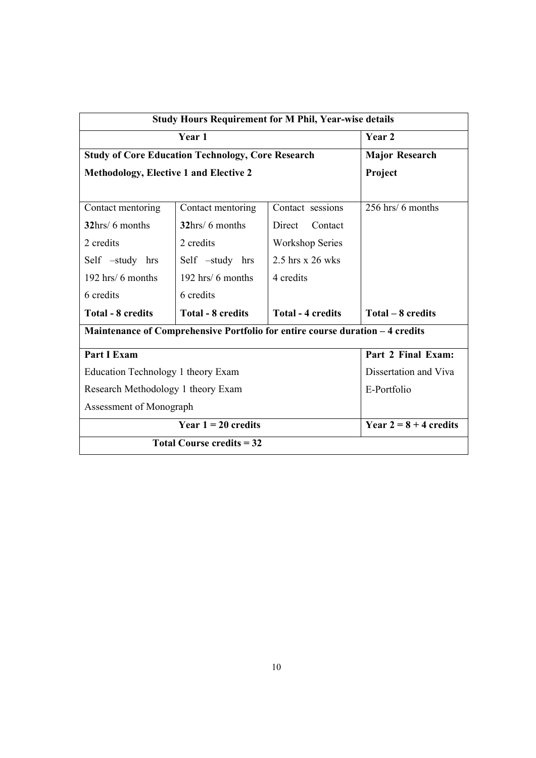| <b>Study Hours Requirement for M Phil, Year-wise details</b>                  |                                                          |                        |                          |  |  |  |
|-------------------------------------------------------------------------------|----------------------------------------------------------|------------------------|--------------------------|--|--|--|
|                                                                               | Year 2                                                   |                        |                          |  |  |  |
|                                                                               | <b>Study of Core Education Technology, Core Research</b> |                        | <b>Major Research</b>    |  |  |  |
| Methodology, Elective 1 and Elective 2                                        | Project                                                  |                        |                          |  |  |  |
|                                                                               |                                                          |                        |                          |  |  |  |
| Contact mentoring                                                             | Contact mentoring                                        | Contact sessions       | 256 hrs/ 6 months        |  |  |  |
| 32hrs/6 months                                                                | 32hrs/ 6 months                                          | Direct<br>Contact      |                          |  |  |  |
| 2 credits                                                                     | 2 credits                                                | <b>Workshop Series</b> |                          |  |  |  |
| Self -study hrs                                                               | Self -study hrs                                          | 2.5 hrs x 26 wks       |                          |  |  |  |
| 192 hrs/ 6 months                                                             | 192 hrs/ 6 months                                        | 4 credits              |                          |  |  |  |
| 6 credits                                                                     | 6 credits                                                |                        |                          |  |  |  |
| <b>Total - 8 credits</b>                                                      | Total – 8 credits                                        |                        |                          |  |  |  |
| Maintenance of Comprehensive Portfolio for entire course duration - 4 credits |                                                          |                        |                          |  |  |  |
| <b>Part I Exam</b>                                                            | Part 2 Final Exam:                                       |                        |                          |  |  |  |
| Education Technology 1 theory Exam                                            | Dissertation and Viva                                    |                        |                          |  |  |  |
| Research Methodology 1 theory Exam                                            | E-Portfolio                                              |                        |                          |  |  |  |
| Assessment of Monograph                                                       |                                                          |                        |                          |  |  |  |
|                                                                               | Year $1 = 20$ credits                                    |                        | Year $2 = 8 + 4$ credits |  |  |  |
|                                                                               | Total Course credits $= 32$                              |                        |                          |  |  |  |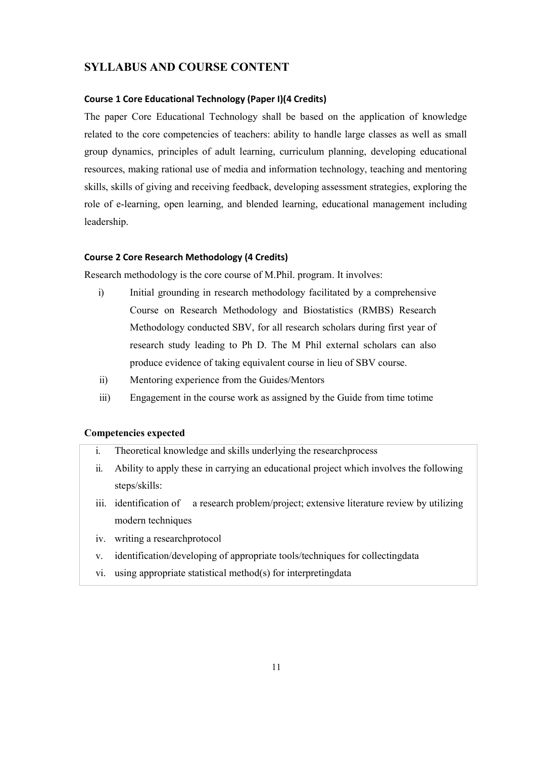# **SYLLABUS AND COURSE CONTENT**

#### **Course 1 Core Educational Technology (Paper I)(4 Credits)**

The paper Core Educational Technology shall be based on the application of knowledge related to the core competencies of teachers: ability to handle large classes as well as small group dynamics, principles of adult learning, curriculum planning, developing educational resources, making rational use of media and information technology, teaching and mentoring skills, skills of giving and receiving feedback, developing assessment strategies, exploring the role of e-learning, open learning, and blended learning, educational management including leadership.

#### **Course 2 Core Research Methodology (4 Credits)**

Research methodology is the core course of M.Phil. program. It involves:

- i) Initial grounding in research methodology facilitated by a comprehensive Course on Research Methodology and Biostatistics (RMBS) Research Methodology conducted SBV, for all research scholars during first year of research study leading to Ph D. The M Phil external scholars can also produce evidence of taking equivalent course in lieu of SBV course.
- ii) Mentoring experience from the Guides/Mentors
- iii) Engagement in the course work as assigned by the Guide from time totime

### **Competencies expected**

- i. Theoretical knowledge and skills underlying the researchprocess
- ii. Ability to apply these in carrying an educational project which involves the following steps/skills:
- a research problem/project; extensive literature review by utilizing modern techniques iii. identification of
- iv. writing a researchprotocol
- v. identification/developing of appropriate tools/techniques for collectingdata
- vi. using appropriate statistical method(s) for interpretingdata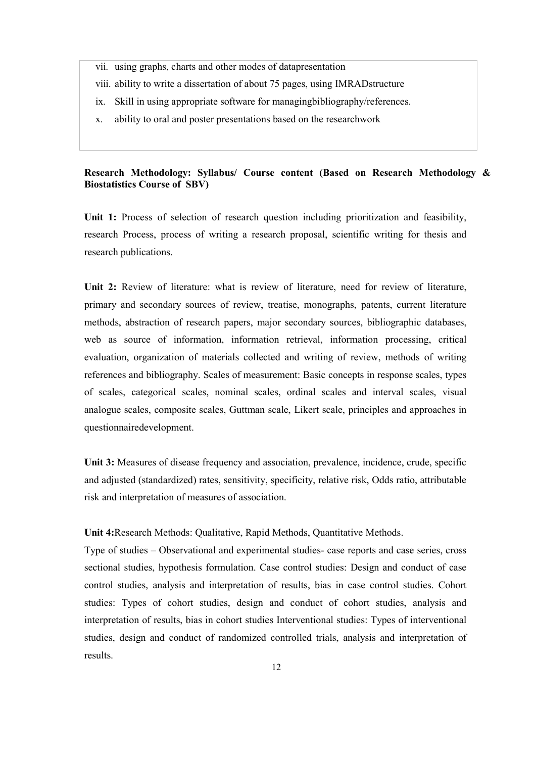- vii. using graphs, charts and other modes of datapresentation
- viii. ability to write a dissertation of about 75 pages, using IMRADstructure
- ix. Skill in using appropriate software for managingbibliography/references.
- x. ability to oral and poster presentations based on the researchwork

## **Research Methodology: Syllabus/ Course content (Based on Research Methodology & Biostatistics Course of SBV)**

**Unit 1:** Process of selection of research question including prioritization and feasibility, research Process, process of writing a research proposal, scientific writing for thesis and research publications.

Unit 2: Review of literature: what is review of literature, need for review of literature, primary and secondary sources of review, treatise, monographs, patents, current literature methods, abstraction of research papers, major secondary sources, bibliographic databases, web as source of information, information retrieval, information processing, critical evaluation, organization of materials collected and writing of review, methods of writing references and bibliography. Scales of measurement: Basic concepts in response scales, types of scales, categorical scales, nominal scales, ordinal scales and interval scales, visual analogue scales, composite scales, Guttman scale, Likert scale, principles and approaches in questionnairedevelopment.

**Unit 3:** Measures of disease frequency and association, prevalence, incidence, crude, specific and adjusted (standardized) rates, sensitivity, specificity, relative risk, Odds ratio, attributable risk and interpretation of measures of association.

**Unit 4:**Research Methods: Qualitative, Rapid Methods, Quantitative Methods.

Type of studies – Observational and experimental studies- case reports and case series, cross sectional studies, hypothesis formulation. Case control studies: Design and conduct of case control studies, analysis and interpretation of results, bias in case control studies. Cohort studies: Types of cohort studies, design and conduct of cohort studies, analysis and interpretation of results, bias in cohort studies Interventional studies: Types of interventional studies, design and conduct of randomized controlled trials, analysis and interpretation of results.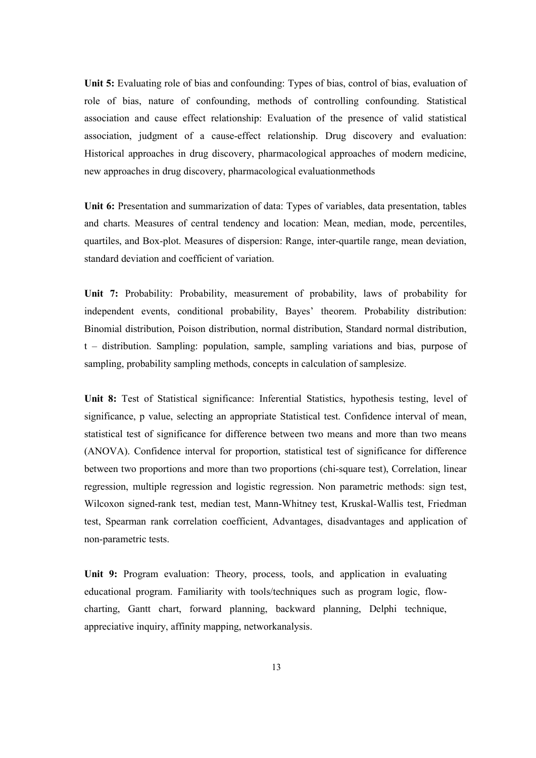**Unit 5:** Evaluating role of bias and confounding: Types of bias, control of bias, evaluation of role of bias, nature of confounding, methods of controlling confounding. Statistical association and cause effect relationship: Evaluation of the presence of valid statistical association, judgment of a cause-effect relationship. Drug discovery and evaluation: Historical approaches in drug discovery, pharmacological approaches of modern medicine, new approaches in drug discovery, pharmacological evaluationmethods

**Unit 6:** Presentation and summarization of data: Types of variables, data presentation, tables and charts. Measures of central tendency and location: Mean, median, mode, percentiles, quartiles, and Box-plot. Measures of dispersion: Range, inter-quartile range, mean deviation, standard deviation and coefficient of variation.

**Unit 7:** Probability: Probability, measurement of probability, laws of probability for independent events, conditional probability, Bayes' theorem. Probability distribution: Binomial distribution, Poison distribution, normal distribution, Standard normal distribution, t – distribution. Sampling: population, sample, sampling variations and bias, purpose of sampling, probability sampling methods, concepts in calculation of samplesize.

**Unit 8:** Test of Statistical significance: Inferential Statistics, hypothesis testing, level of significance, p value, selecting an appropriate Statistical test. Confidence interval of mean, statistical test of significance for difference between two means and more than two means (ANOVA). Confidence interval for proportion, statistical test of significance for difference between two proportions and more than two proportions (chi-square test), Correlation, linear regression, multiple regression and logistic regression. Non parametric methods: sign test, Wilcoxon signed-rank test, median test, Mann-Whitney test, Kruskal-Wallis test, Friedman test, Spearman rank correlation coefficient, Advantages, disadvantages and application of non-parametric tests.

**Unit 9:** Program evaluation: Theory, process, tools, and application in evaluating educational program. Familiarity with tools/techniques such as program logic, flowcharting, Gantt chart, forward planning, backward planning, Delphi technique, appreciative inquiry, affinity mapping, networkanalysis.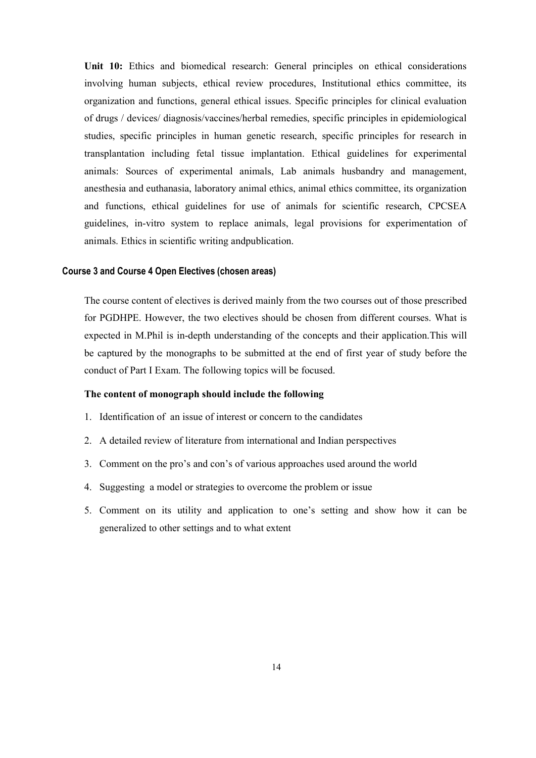**Unit 10:** Ethics and biomedical research: General principles on ethical considerations involving human subjects, ethical review procedures, Institutional ethics committee, its organization and functions, general ethical issues. Specific principles for clinical evaluation of drugs / devices/ diagnosis/vaccines/herbal remedies, specific principles in epidemiological studies, specific principles in human genetic research, specific principles for research in transplantation including fetal tissue implantation. Ethical guidelines for experimental animals: Sources of experimental animals, Lab animals husbandry and management, anesthesia and euthanasia, laboratory animal ethics, animal ethics committee, its organization and functions, ethical guidelines for use of animals for scientific research, CPCSEA guidelines, in-vitro system to replace animals, legal provisions for experimentation of animals. Ethics in scientific writing andpublication.

#### **Course 3 and Course 4 Open Electives (chosen areas)**

The course content of electives is derived mainly from the two courses out of those prescribed for PGDHPE. However, the two electives should be chosen from different courses. What is expected in M.Phil is in-depth understanding of the concepts and their application.This will be captured by the monographs to be submitted at the end of first year of study before the conduct of Part I Exam. The following topics will be focused.

#### **The content of monograph should include the following**

- 1. Identification of an issue of interest or concern to the candidates
- 2. A detailed review of literature from international and Indian perspectives
- 3. Comment on the pro's and con's of various approaches used around the world
- 4. Suggesting a model or strategies to overcome the problem or issue
- 5. Comment on its utility and application to one's setting and show how it can be generalized to other settings and to what extent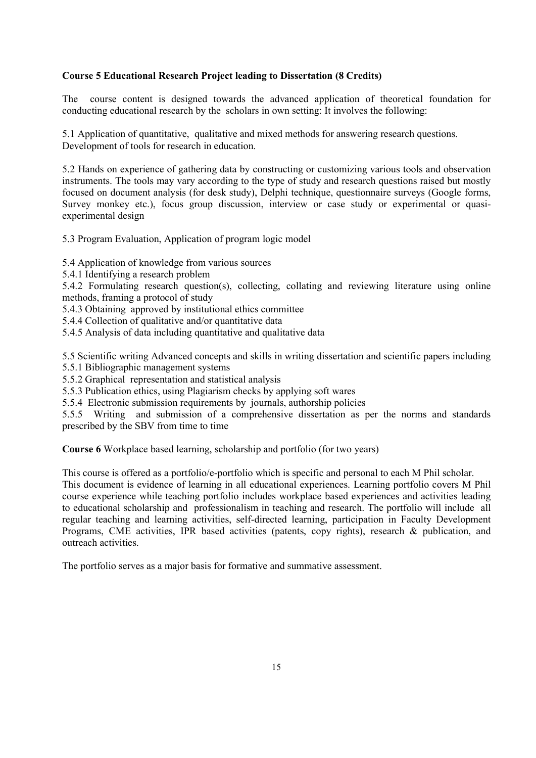# **Course 5 Educational Research Project leading to Dissertation (8 Credits)**

The course content is designed towards the advanced application of theoretical foundation for conducting educational research by the scholars in own setting: It involves the following:

5.1 Application of quantitative, qualitative and mixed methods for answering research questions. Development of tools for research in education.

5.2 Hands on experience of gathering data by constructing or customizing various tools and observation instruments. The tools may vary according to the type of study and research questions raised but mostly focused on document analysis (for desk study), Delphi technique, questionnaire surveys (Google forms, Survey monkey etc.), focus group discussion, interview or case study or experimental or quasiexperimental design

5.3 Program Evaluation, Application of program logic model

5.4 Application of knowledge from various sources

5.4.1 Identifying a research problem

5.4.2 Formulating research question(s), collecting, collating and reviewing literature using online methods, framing a protocol of study

- 5.4.3 Obtaining approved by institutional ethics committee
- 5.4.4 Collection of qualitative and/or quantitative data
- 5.4.5 Analysis of data including quantitative and qualitative data

5.5 Scientific writing Advanced concepts and skills in writing dissertation and scientific papers including

- 5.5.1 Bibliographic management systems
- 5.5.2 Graphical representation and statistical analysis
- 5.5.3 Publication ethics, using Plagiarism checks by applying soft wares
- 5.5.4 Electronic submission requirements by journals, authorship policies

5.5.5 Writing and submission of a comprehensive dissertation as per the norms and standards prescribed by the SBV from time to time

**Course 6** Workplace based learning, scholarship and portfolio (for two years)

This course is offered as a portfolio/e-portfolio which is specific and personal to each M Phil scholar. This document is evidence of learning in all educational experiences. Learning portfolio covers M Phil course experience while teaching portfolio includes workplace based experiences and activities leading to educational scholarship and professionalism in teaching and research. The portfolio will include all regular teaching and learning activities, self-directed learning, participation in Faculty Development Programs, CME activities, IPR based activities (patents, copy rights), research & publication, and outreach activities.

The portfolio serves as a major basis for formative and summative assessment.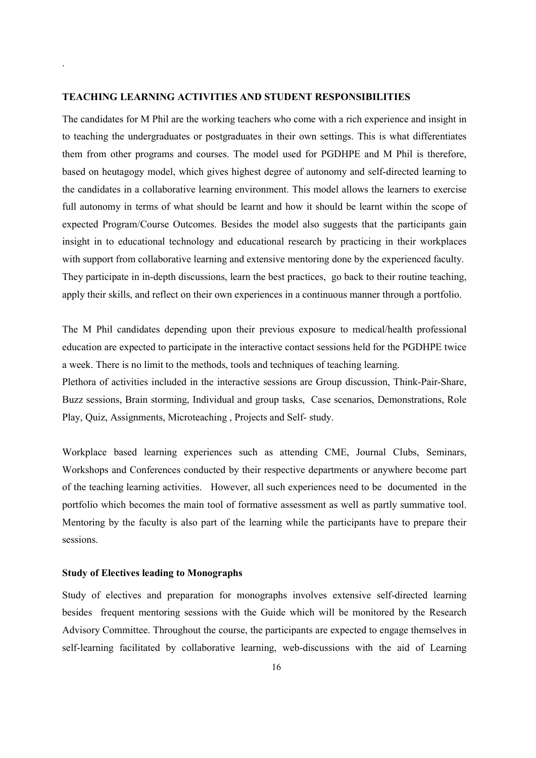#### **TEACHING LEARNING ACTIVITIES AND STUDENT RESPONSIBILITIES**

.

The candidates for M Phil are the working teachers who come with a rich experience and insight in to teaching the undergraduates or postgraduates in their own settings. This is what differentiates them from other programs and courses. The model used for PGDHPE and M Phil is therefore, based on heutagogy model, which gives highest degree of autonomy and self-directed learning to the candidates in a collaborative learning environment. This model allows the learners to exercise full autonomy in terms of what should be learnt and how it should be learnt within the scope of expected Program/Course Outcomes. Besides the model also suggests that the participants gain insight in to educational technology and educational research by practicing in their workplaces with support from collaborative learning and extensive mentoring done by the experienced faculty. They participate in in-depth discussions, learn the best practices, go back to their routine teaching, apply their skills, and reflect on their own experiences in a continuous manner through a portfolio.

The M Phil candidates depending upon their previous exposure to medical/health professional education are expected to participate in the interactive contact sessions held for the PGDHPE twice a week. There is no limit to the methods, tools and techniques of teaching learning. Plethora of activities included in the interactive sessions are Group discussion, Think-Pair-Share,

Buzz sessions, Brain storming, Individual and group tasks, Case scenarios, Demonstrations, Role Play, Quiz, Assignments, Microteaching , Projects and Self- study.

Workplace based learning experiences such as attending CME, Journal Clubs, Seminars, Workshops and Conferences conducted by their respective departments or anywhere become part of the teaching learning activities. However, all such experiences need to be documented in the portfolio which becomes the main tool of formative assessment as well as partly summative tool. Mentoring by the faculty is also part of the learning while the participants have to prepare their sessions.

#### **Study of Electives leading to Monographs**

Study of electives and preparation for monographs involves extensive self-directed learning besides frequent mentoring sessions with the Guide which will be monitored by the Research Advisory Committee. Throughout the course, the participants are expected to engage themselves in self-learning facilitated by collaborative learning, web-discussions with the aid of Learning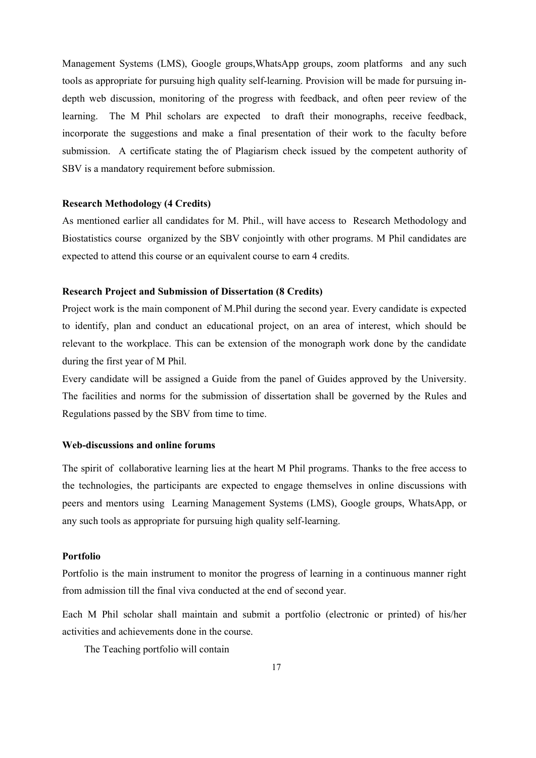Management Systems (LMS), Google groups,WhatsApp groups, zoom platforms and any such tools as appropriate for pursuing high quality self-learning. Provision will be made for pursuing indepth web discussion, monitoring of the progress with feedback, and often peer review of the learning. The M Phil scholars are expected to draft their monographs, receive feedback, incorporate the suggestions and make a final presentation of their work to the faculty before submission. A certificate stating the of Plagiarism check issued by the competent authority of SBV is a mandatory requirement before submission.

#### **Research Methodology (4 Credits)**

As mentioned earlier all candidates for M. Phil., will have access to Research Methodology and Biostatistics course organized by the SBV conjointly with other programs. M Phil candidates are expected to attend this course or an equivalent course to earn 4 credits.

# **Research Project and Submission of Dissertation (8 Credits)**

Project work is the main component of M.Phil during the second year. Every candidate is expected to identify, plan and conduct an educational project, on an area of interest, which should be relevant to the workplace. This can be extension of the monograph work done by the candidate during the first year of M Phil.

Every candidate will be assigned a Guide from the panel of Guides approved by the University. The facilities and norms for the submission of dissertation shall be governed by the Rules and Regulations passed by the SBV from time to time.

#### **Web-discussions and online forums**

The spirit of collaborative learning lies at the heart M Phil programs. Thanks to the free access to the technologies, the participants are expected to engage themselves in online discussions with peers and mentors using Learning Management Systems (LMS), Google groups, WhatsApp, or any such tools as appropriate for pursuing high quality self-learning.

#### **Portfolio**

Portfolio is the main instrument to monitor the progress of learning in a continuous manner right from admission till the final viva conducted at the end of second year.

Each M Phil scholar shall maintain and submit a portfolio (electronic or printed) of his/her activities and achievements done in the course.

The Teaching portfolio will contain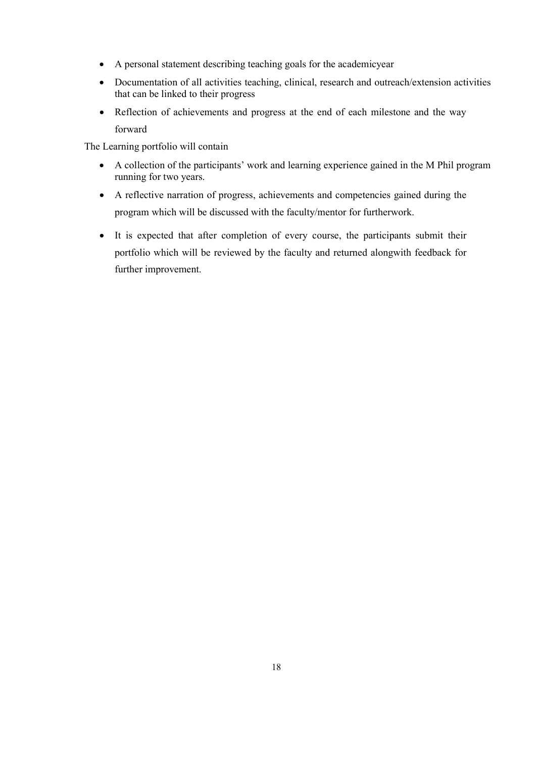- A personal statement describing teaching goals for the academicyear
- Documentation of all activities teaching, clinical, research and outreach/extension activities that can be linked to their progress
- Reflection of achievements and progress at the end of each milestone and the way forward

The Learning portfolio will contain

- A collection of the participants' work and learning experience gained in the M Phil program running for two years.
- A reflective narration of progress, achievements and competencies gained during the program which will be discussed with the faculty/mentor for furtherwork.
- It is expected that after completion of every course, the participants submit their portfolio which will be reviewed by the faculty and returned alongwith feedback for further improvement.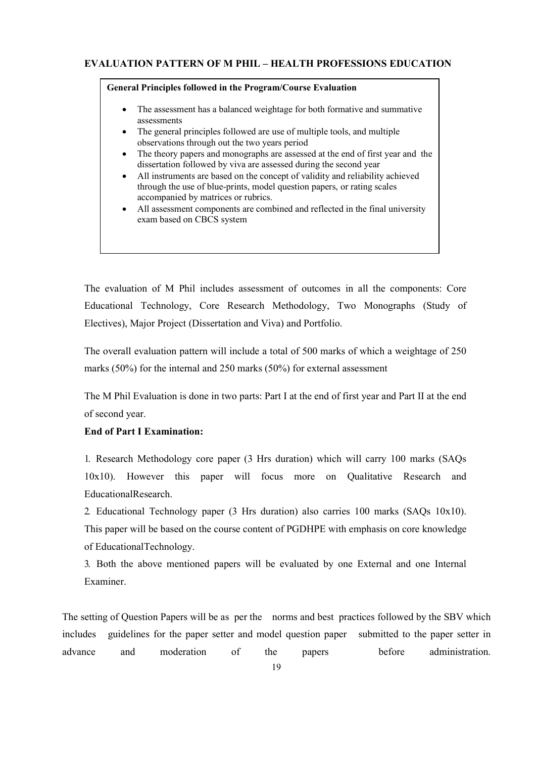#### **EVALUATION PATTERN OF M PHIL – HEALTH PROFESSIONS EDUCATION**

#### **General Principles followed in the Program/Course Evaluation**

- The assessment has a balanced weightage for both formative and summative assessments
- The general principles followed are use of multiple tools, and multiple observations through out the two years period
- The theory papers and monographs are assessed at the end of first year and the dissertation followed by viva are assessed during the second year
- All instruments are based on the concept of validity and reliability achieved through the use of blue-prints, model question papers, or rating scales accompanied by matrices or rubrics.
- All assessment components are combined and reflected in the final university exam based on CBCS system

The evaluation of M Phil includes assessment of outcomes in all the components: Core Educational Technology, Core Research Methodology, Two Monographs (Study of Electives), Major Project (Dissertation and Viva) and Portfolio.

The overall evaluation pattern will include a total of 500 marks of which a weightage of 250 marks (50%) for the internal and 250 marks (50%) for external assessment

The M Phil Evaluation is done in two parts: Part I at the end of first year and Part II at the end of second year.

# **End of Part I Examination:**

1. Research Methodology core paper (3 Hrs duration) which will carry 100 marks (SAQs 10x10). However this paper will focus more on Qualitative Research and EducationalResearch.

2. Educational Technology paper (3 Hrs duration) also carries 100 marks (SAQs 10x10). This paper will be based on the course content of PGDHPE with emphasis on core knowledge of EducationalTechnology.

3. Both the above mentioned papers will be evaluated by one External and one Internal Examiner.

The setting of Question Papers will be as per the norms and best practices followed by the SBV which includes guidelines for the paper setter and model question paper submitted to the paper setter in advance and moderation of the papers before administration.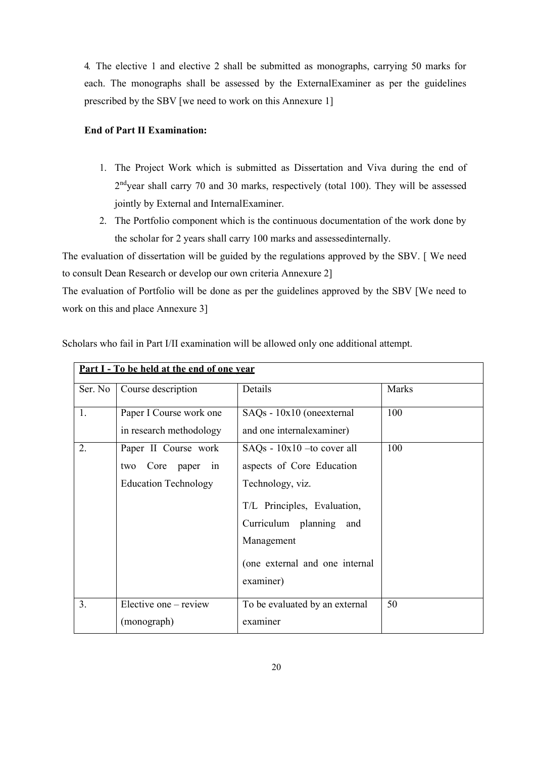4. The elective 1 and elective 2 shall be submitted as monographs, carrying 50 marks for each. The monographs shall be assessed by the ExternalExaminer as per the guidelines prescribed by the SBV [we need to work on this Annexure 1]

# **End of Part II Examination:**

- 1. The Project Work which is submitted as Dissertation and Viva during the end of 2<sup>nd</sup>year shall carry 70 and 30 marks, respectively (total 100). They will be assessed jointly by External and InternalExaminer.
- 2. The Portfolio component which is the continuous documentation of the work done by the scholar for 2 years shall carry 100 marks and assessedinternally.

The evaluation of dissertation will be guided by the regulations approved by the SBV. [ We need to consult Dean Research or develop our own criteria Annexure 2]

The evaluation of Portfolio will be done as per the guidelines approved by the SBV [We need to work on this and place Annexure 3]

| <u>Part I - To be held at the end of one vear</u> |                                                                             |                                                                                                                                                                                                           |       |  |  |
|---------------------------------------------------|-----------------------------------------------------------------------------|-----------------------------------------------------------------------------------------------------------------------------------------------------------------------------------------------------------|-------|--|--|
| Ser. No                                           | Course description                                                          | Details                                                                                                                                                                                                   | Marks |  |  |
| 1.                                                | Paper I Course work one<br>in research methodology                          | SAQs - 10x10 (oneexternal<br>and one internal examiner)                                                                                                                                                   | 100   |  |  |
| 2.                                                | Paper II Course work<br>two Core paper<br>in<br><b>Education Technology</b> | $S A Qs - 10x10$ -to cover all<br>aspects of Core Education<br>Technology, viz.<br>T/L Principles, Evaluation,<br>Curriculum planning<br>and<br>Management<br>(one external and one internal<br>examiner) | 100   |  |  |
| 3 <sub>1</sub>                                    | Elective one – review<br>(monograph)                                        | To be evaluated by an external<br>examiner                                                                                                                                                                | 50    |  |  |

Scholars who fail in Part I/II examination will be allowed only one additional attempt.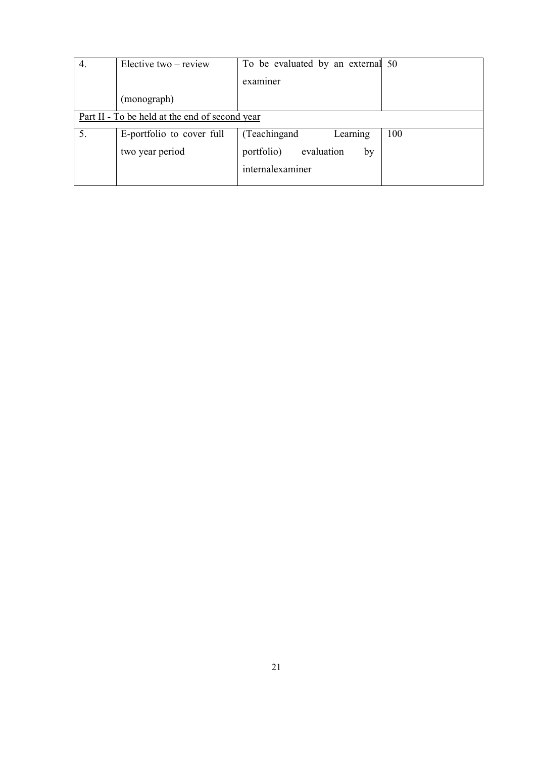| 4. | Elective two – review                          | To be evaluated by an external 50 |     |
|----|------------------------------------------------|-----------------------------------|-----|
|    |                                                | examiner                          |     |
|    | (monograph)                                    |                                   |     |
|    | Part II - To be held at the end of second year |                                   |     |
| 5. | E-portfolio to cover full                      | (Teachingand)<br>Learning         | 100 |
|    | two year period                                | evaluation<br>portfolio)<br>by    |     |
|    |                                                | internalexaminer                  |     |
|    |                                                |                                   |     |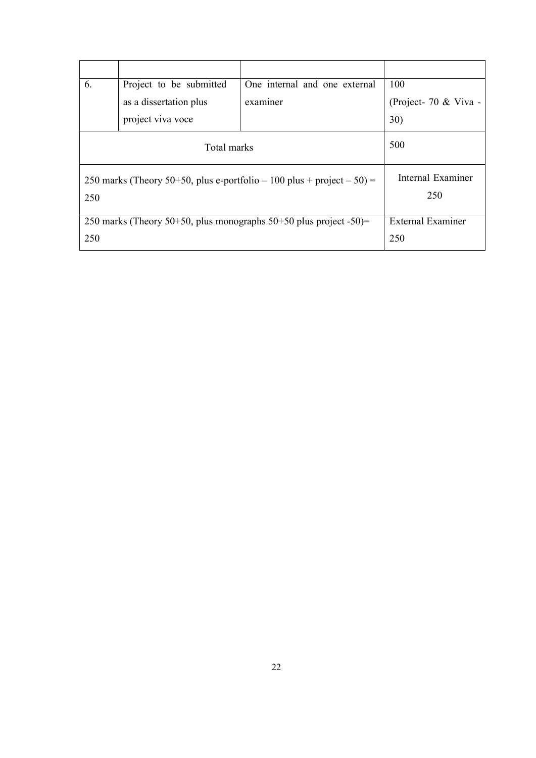| 6.  | Project to be submitted                                             | One internal and one external                                          | 100                   |
|-----|---------------------------------------------------------------------|------------------------------------------------------------------------|-----------------------|
|     | as a dissertation plus                                              | examiner                                                               | (Project- 70 & Viva - |
|     | project viva voce                                                   |                                                                        | <b>30</b> )           |
|     | Total marks                                                         |                                                                        | 500                   |
|     |                                                                     | 250 marks (Theory 50+50, plus e-portfolio – 100 plus + project – 50) = | Internal Examiner     |
| 250 |                                                                     | 250                                                                    |                       |
|     | 250 marks (Theory 50+50, plus monographs $50+50$ plus project -50)= | External Examiner                                                      |                       |
| 250 |                                                                     | 250                                                                    |                       |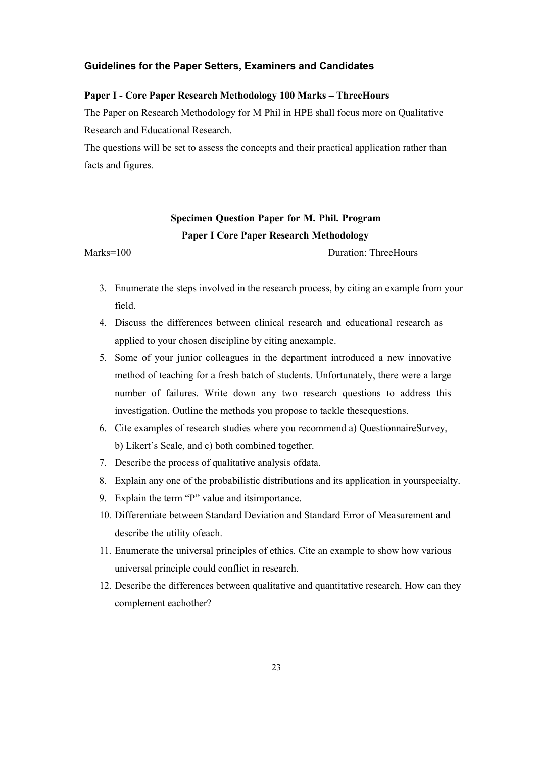#### **Guidelines for the Paper Setters, Examiners and Candidates**

#### **Paper I - Core Paper Research Methodology 100 Marks – ThreeHours**

The Paper on Research Methodology for M Phil in HPE shall focus more on Qualitative Research and Educational Research.

The questions will be set to assess the concepts and their practical application rather than facts and figures.

# **Specimen Question Paper for M. Phil. Program Paper I Core Paper Research Methodology**

Marks=100 Duration: ThreeHours

- 3. Enumerate the steps involved in the research process, by citing an example from your field.
- 4. Discuss the differences between clinical research and educational research as applied to your chosen discipline by citing anexample.
- 5. Some of your junior colleagues in the department introduced a new innovative method of teaching for a fresh batch of students. Unfortunately, there were a large number of failures. Write down any two research questions to address this investigation. Outline the methods you propose to tackle thesequestions.
- 6. Cite examples of research studies where you recommend a) QuestionnaireSurvey, b) Likert's Scale, and c) both combined together.
- 7. Describe the process of qualitative analysis ofdata.
- 8. Explain any one of the probabilistic distributions and its application in yourspecialty.
- 9. Explain the term "P" value and itsimportance.
- 10. Differentiate between Standard Deviation and Standard Error of Measurement and describe the utility ofeach.
- 11. Enumerate the universal principles of ethics. Cite an example to show how various universal principle could conflict in research.
- 12. Describe the differences between qualitative and quantitative research. How can they complement eachother?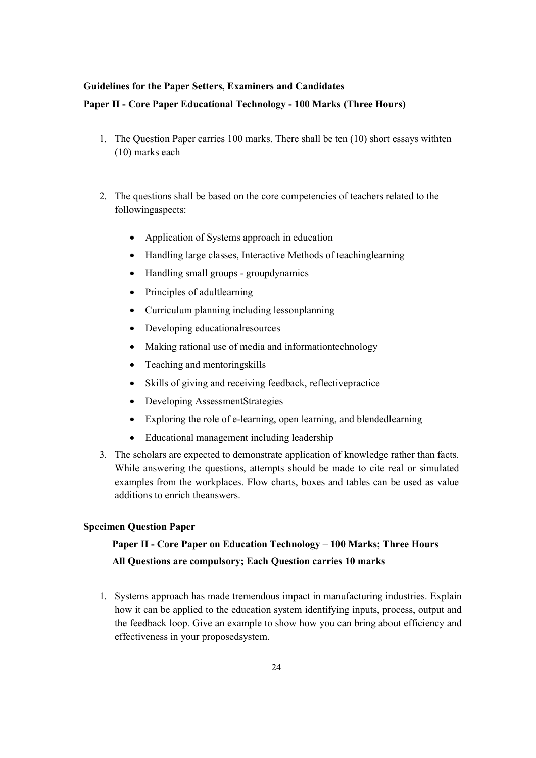# **Guidelines for the Paper Setters, Examiners and Candidates**

# **Paper II - Core Paper Educational Technology - 100 Marks (Three Hours)**

- 1. The Question Paper carries 100 marks. There shall be ten (10) short essays withten (10) marks each
- 2. The questions shall be based on the core competencies of teachers related to the followingaspects:
	- Application of Systems approach in education
	- Handling large classes, Interactive Methods of teachinglearning
	- Handling small groups groupdynamics
	- Principles of adultlearning
	- Curriculum planning including lessonplanning
	- Developing educationalresources
	- Making rational use of media and informationtechnology
	- Teaching and mentoringskills
	- Skills of giving and receiving feedback, reflectivepractice
	- Developing AssessmentStrategies
	- Exploring the role of e-learning, open learning, and blendedlearning
	- Educational management including leadership
- 3. The scholars are expected to demonstrate application of knowledge rather than facts. While answering the questions, attempts should be made to cite real or simulated examples from the workplaces. Flow charts, boxes and tables can be used as value additions to enrich theanswers.

# **Specimen Question Paper**

# **Paper II - Core Paper on Education Technology – 100 Marks; Three Hours All Questions are compulsory; Each Question carries 10 marks**

1. Systems approach has made tremendous impact in manufacturing industries. Explain how it can be applied to the education system identifying inputs, process, output and the feedback loop. Give an example to show how you can bring about efficiency and effectiveness in your proposedsystem.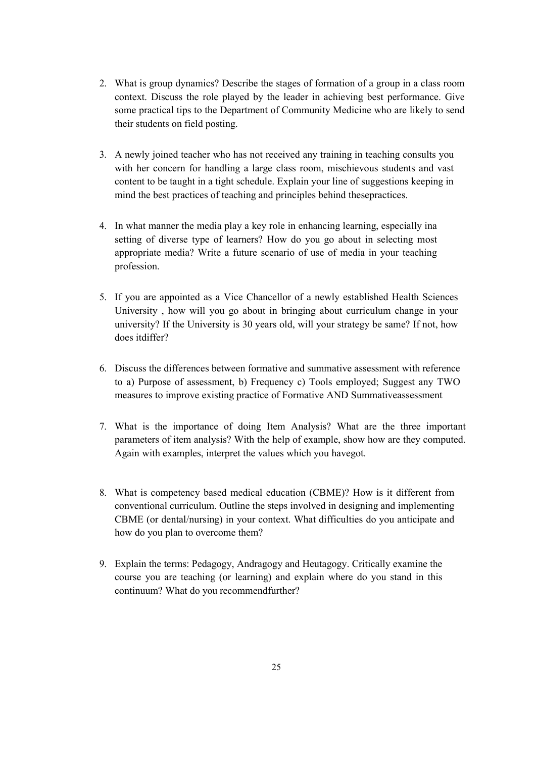- 2. What is group dynamics? Describe the stages of formation of a group in a class room context. Discuss the role played by the leader in achieving best performance. Give some practical tips to the Department of Community Medicine who are likely to send their students on field posting.
- 3. A newly joined teacher who has not received any training in teaching consults you with her concern for handling a large class room, mischievous students and vast content to be taught in a tight schedule. Explain your line of suggestions keeping in mind the best practices of teaching and principles behind thesepractices.
- 4. In what manner the media play a key role in enhancing learning, especially ina setting of diverse type of learners? How do you go about in selecting most appropriate media? Write a future scenario of use of media in your teaching profession.
- 5. If you are appointed as a Vice Chancellor of a newly established Health Sciences University , how will you go about in bringing about curriculum change in your university? If the University is 30 years old, will your strategy be same? If not, how does itdiffer?
- 6. Discuss the differences between formative and summative assessment with reference to a) Purpose of assessment, b) Frequency c) Tools employed; Suggest any TWO measures to improve existing practice of Formative AND Summativeassessment
- 7. What is the importance of doing Item Analysis? What are the three important parameters of item analysis? With the help of example, show how are they computed. Again with examples, interpret the values which you havegot.
- 8. What is competency based medical education (CBME)? How is it different from conventional curriculum. Outline the steps involved in designing and implementing CBME (or dental/nursing) in your context. What difficulties do you anticipate and how do you plan to overcome them?
- 9. Explain the terms: Pedagogy, Andragogy and Heutagogy. Critically examine the course you are teaching (or learning) and explain where do you stand in this continuum? What do you recommendfurther?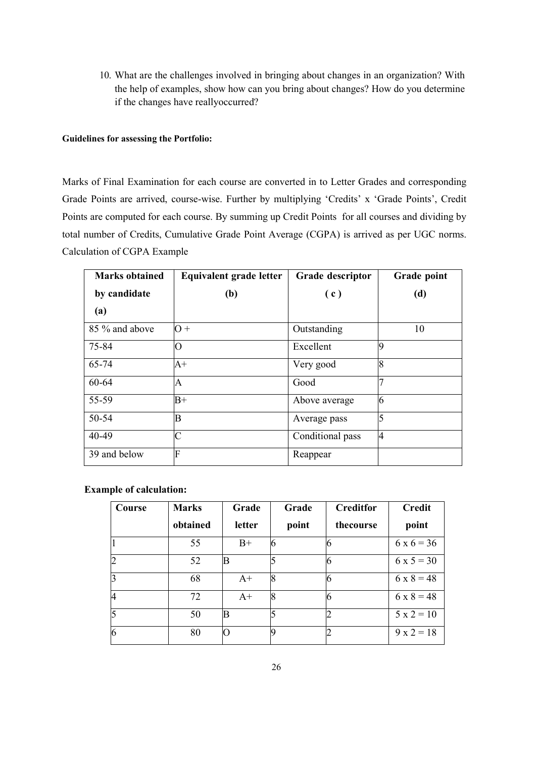10. What are the challenges involved in bringing about changes in an organization? With the help of examples, show how can you bring about changes? How do you determine if the changes have reallyoccurred?

#### **Guidelines for assessing the Portfolio:**

Marks of Final Examination for each course are converted in to Letter Grades and corresponding Grade Points are arrived, course-wise. Further by multiplying 'Credits' x 'Grade Points', Credit Points are computed for each course. By summing up Credit Points for all courses and dividing by total number of Credits, Cumulative Grade Point Average (CGPA) is arrived as per UGC norms. Calculation of CGPA Example

| <b>Marks obtained</b> | Equivalent grade letter | Grade descriptor | Grade point |
|-----------------------|-------------------------|------------------|-------------|
| by candidate          | (b)                     | (c)              | (d)         |
| (a)                   |                         |                  |             |
| 85 % and above        | $\Omega +$              | Outstanding      | 10          |
| 75-84                 | O                       | Excellent        | 9           |
| 65-74                 | $A+$                    | Very good        | 8           |
| 60-64                 | A                       | Good             |             |
| 55-59                 | $B+$                    | Above average    | 6           |
| 50-54                 | B                       | Average pass     | 5           |
| 40-49                 | $\overline{C}$          | Conditional pass | 4           |
| 39 and below          | F                       | Reappear         |             |

**Example of calculation:** 

| Course | <b>Marks</b> | Grade  | Grade | <b>Creditfor</b> | <b>Credit</b>     |
|--------|--------------|--------|-------|------------------|-------------------|
|        | obtained     | letter | point | thecourse        | point             |
|        | 55           | $B+$   | 6     |                  | $6 \times 6 = 36$ |
|        | 52           | B      | 5     |                  | $6x5=30$          |
|        | 68           | $A+$   | 8     |                  | $6 \times 8 = 48$ |
|        | 72           | $A+$   | 8     |                  | $6 \times 8 = 48$ |
| 5      | 50           | B      | 5     |                  | $5 x 2 = 10$      |
|        | 80           |        | Iq    |                  | $9 \times 2 = 18$ |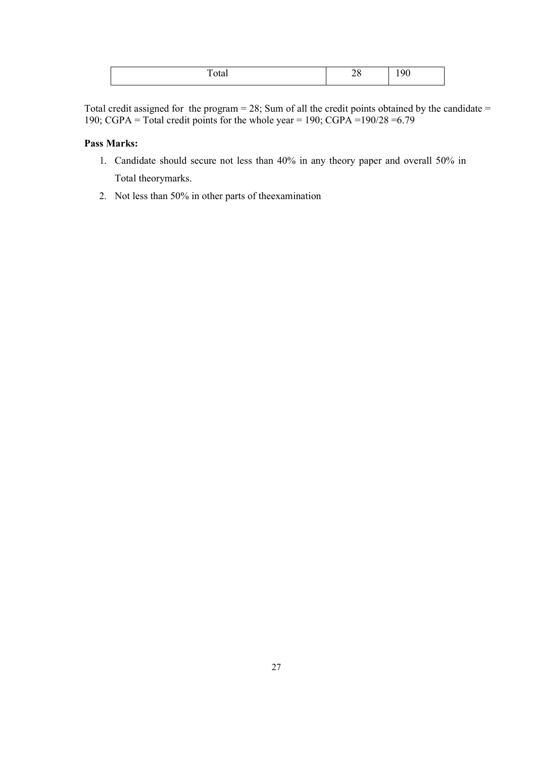|  |  | $- + -$<br>ັບທະ | ⋍<br>ີ<br>-<br>- - | ، ۱<br>╰ |
|--|--|-----------------|--------------------|----------|
|--|--|-----------------|--------------------|----------|

Total credit assigned for the program = 28; Sum of all the credit points obtained by the candidate = 190; CGPA = Total credit points for the whole year = 190; CGPA =  $190/28 = 6.79$ 

# **Pass Marks:**

- 1. Candidate should secure not less than 40% in any theory paper and overall 50% in Total theorymarks.
- 2. Not less than 50% in other parts of theexamination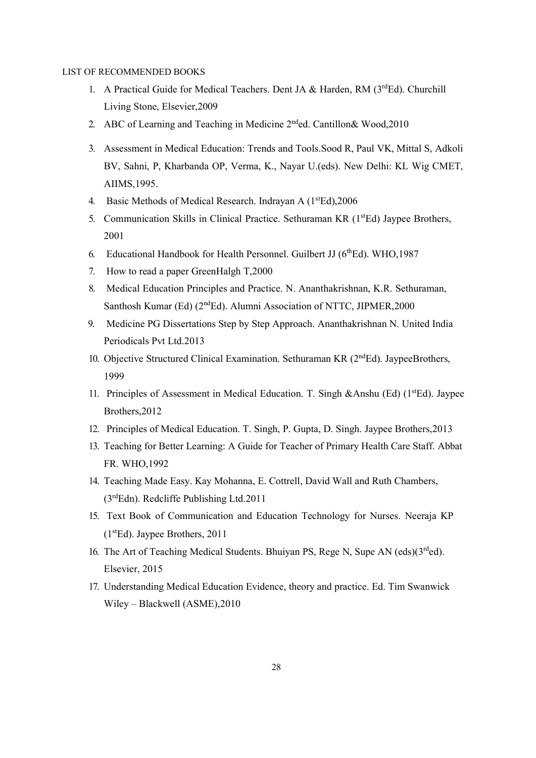#### LIST OF RECOMMENDED BOOKS

- 1. A Practical Guide for Medical Teachers. Dent JA & Harden, RM (3rdEd). Churchill Living Stone, Elsevier,2009
- 2. ABC of Learning and Teaching in Medicine  $2<sup>nd</sup>$ ed. Cantillon & Wood, 2010
- 3. Assessment in Medical Education: Trends and Tools.Sood R, Paul VK, Mittal S, Adkoli BV, Sahni, P, Kharbanda OP, Verma, K., Nayar U.(eds). New Delhi: KL Wig CMET, AIIMS,1995.
- 4. Basic Methods of Medical Research. Indrayan A (1<sup>st</sup>Ed), 2006
- 5. Communication Skills in Clinical Practice. Sethuraman KR (1<sup>st</sup>Ed) Jaypee Brothers, 2001
- 6. Educational Handbook for Health Personnel. Guilbert JJ ( $6<sup>th</sup>Ed$ ). WHO, 1987
- 7. How to read a paper GreenHalgh T,2000
- 8. Medical Education Principles and Practice. N. Ananthakrishnan, K.R. Sethuraman, Santhosh Kumar (Ed) (2<sup>nd</sup>Ed). Alumni Association of NTTC, JIPMER, 2000
- 9. Medicine PG Dissertations Step by Step Approach. Ananthakrishnan N. United India Periodicals Pvt Ltd.2013
- 10. Objective Structured Clinical Examination. Sethuraman KR (2<sup>nd</sup>Ed). JaypeeBrothers, 1999
- 11. Principles of Assessment in Medical Education. T. Singh &Anshu (Ed)  $(1<sup>st</sup>Ed)$ . Jaypee Brothers,2012
- 12. Principles of Medical Education. T. Singh, P. Gupta, D. Singh. Jaypee Brothers,2013
- 13. Teaching for Better Learning: A Guide for Teacher of Primary Health Care Staff. Abbat FR. WHO,1992
- 14. Teaching Made Easy. Kay Mohanna, E. Cottrell, David Wall and Ruth Chambers, (3rdEdn). Redcliffe Publishing Ltd.2011
- 15. Text Book of Communication and Education Technology for Nurses. Neeraja KP  $(1<sup>st</sup>Ed)$ . Jaypee Brothers, 2011
- 16. The Art of Teaching Medical Students. Bhuiyan PS, Rege N, Supe AN (eds)( $3<sup>rd</sup>$ ed). Elsevier, 2015
- 17. Understanding Medical Education Evidence, theory and practice. Ed. Tim Swanwick Wiley – Blackwell (ASME),2010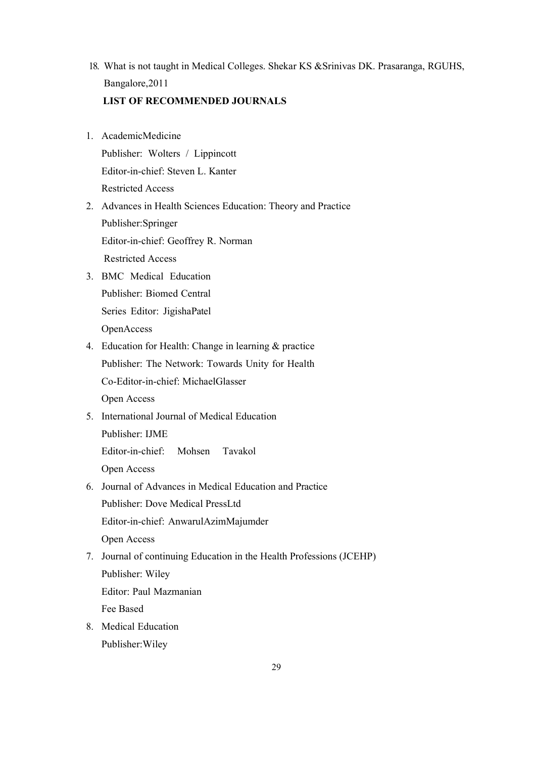- 18. What is not taught in Medical Colleges. Shekar KS &Srinivas DK. Prasaranga, RGUHS, Bangalore,2011 **LIST OF RECOMMENDED JOURNALS**
- 1. AcademicMedicine Publisher: Wolters / Lippincott Editor-in-chief: Steven L. Kanter Restricted Access
- 2. Advances in Health Sciences Education: Theory and Practice Publisher:Springer Editor-in-chief: Geoffrey R. Norman Restricted Access
- 3. BMC Medical Education Publisher: Biomed Central Series Editor: JigishaPatel OpenAccess
- 4. Education for Health: Change in learning & practice Publisher: The Network: Towards Unity for Health Co-Editor-in-chief: MichaelGlasser

Open Access

5. International Journal of Medical Education

Publisher: IJME

Editor-in-chief: Mohsen Tavakol

Open Access

6. Journal of Advances in Medical Education and Practice Publisher: Dove Medical PressLtd Editor-in-chief: AnwarulAzimMajumder

Open Access

7. Journal of continuing Education in the Health Professions (JCEHP)

Publisher: Wiley

Editor: Paul Mazmanian

Fee Based

8. Medical Education Publisher:Wiley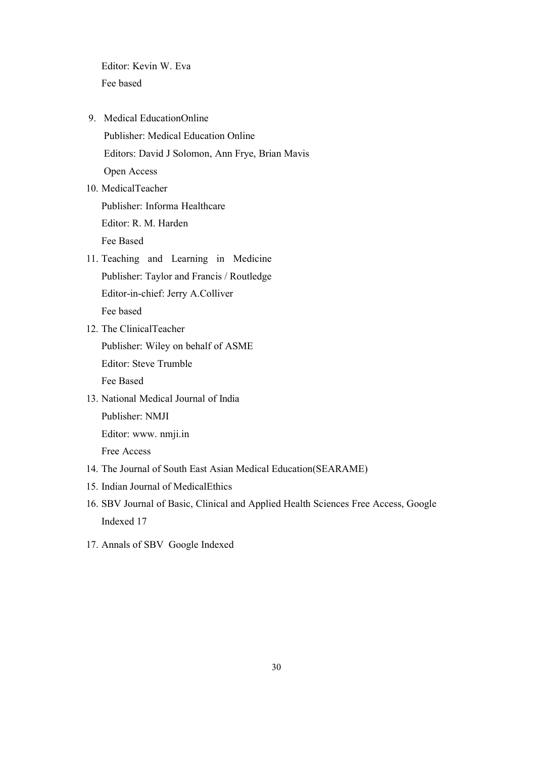Editor: Kevin W. Eva Fee based

- 9. Medical EducationOnline Publisher: Medical Education Online Editors: David J Solomon, Ann Frye, Brian Mavis Open Access
- 10. MedicalTeacher Publisher: Informa Healthcare Editor: R. M. Harden Fee Based
- 11. Teaching and Learning in Medicine Publisher: Taylor and Francis / Routledge Editor-in-chief: Jerry A.Colliver Fee based
- 12. The ClinicalTeacher Publisher: Wiley on behalf of ASME Editor: Steve Trumble Fee Based
- 13. National Medical Journal of India Publisher: NMJI

Editor: www. nmji.in

Free Access

- 14. Th[e Journa](http://www/)l of South East Asian Medical Education(SEARAME)
- 15. Indian Journal of MedicalEthics
- 16. SBV Journal of Basic, Clinical and Applied Health Sciences Free Access, Google Indexed 17
- 17. Annals of SBV Google Indexed